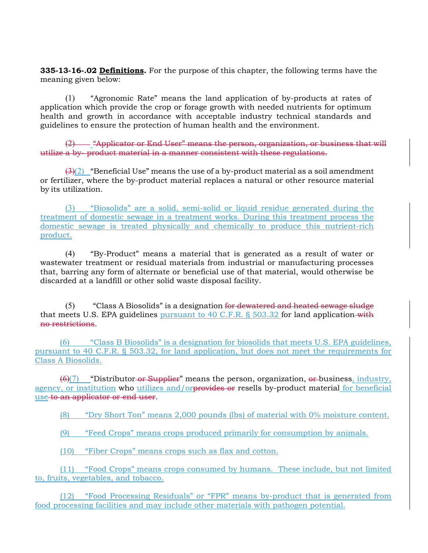**335-13-16-.02 Definitions.** For the purpose of this chapter, the following terms have the meaning given below:

(1) "Agronomic Rate" means the land application of by-products at rates of application which provide the crop or forage growth with needed nutrients for optimum health and growth in accordance with acceptable industry technical standards and guidelines to ensure the protection of human health and the environment.

(2) "Applicator or End User" means the person, organization, or business that will utilize a by- product material in a manner consistent with these regulations.

 $\left(\frac{3}{2}\right)$  "Beneficial Use" means the use of a by-product material as a soil amendment or fertilizer, where the by-product material replaces a natural or other resource material by its utilization.

(3) "Biosolids" are a solid, semi-solid or liquid residue generated during the treatment of domestic sewage in a treatment works. During this treatment process the domestic sewage is treated physically and chemically to produce this nutrient-rich product.

(4) "By-Product" means a material that is generated as a result of water or wastewater treatment or residual materials from industrial or manufacturing processes that, barring any form of alternate or beneficial use of that material, would otherwise be discarded at a landfill or other solid waste disposal facility.

 $(5)$  "Class A Biosolids" is a designation for dewatered and heated sewage sludge that meets U.S. EPA guidelines pursuant to 40 C.F.R.  $\S$  503.32 for land application-with no restrictions.

(6) "Class B Biosolids" is a designation for biosolids that meets U.S. EPA guidelines, pursuant to 40 C.F.R. § 503.32, for land application, but does not meet the requirements for Class A Biosolids.

 $\left(\frac{6}{7}\right)$  "Distributor-or Supplier" means the person, organization, or business, industry, agency, or institution who utilizes and/orprovides or resells by-product material for beneficial use to an applicator or end user.

(8) "Dry Short Ton" means 2,000 pounds (lbs) of material with 0% moisture content.

(9) "Feed Crops" means crops produced primarily for consumption by animals.

(10) "Fiber Crops" means crops such as flax and cotton.

(11) "Food Crops" means crops consumed by humans. These include, but not limited to, fruits, vegetables, and tobacco.

(12) "Food Processing Residuals" or "FPR" means by-product that is generated from food processing facilities and may include other materials with pathogen potential.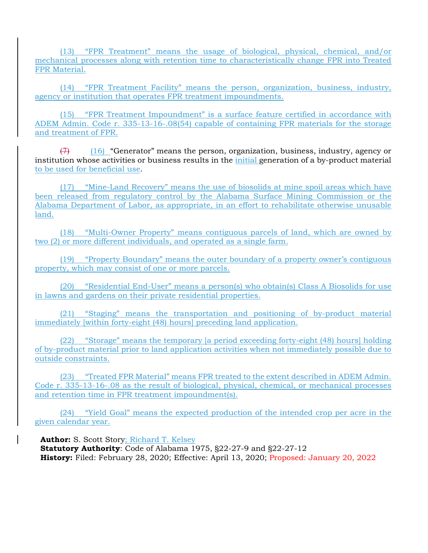(13) "FPR Treatment" means the usage of biological, physical, chemical, and/or mechanical processes along with retention time to characteristically change FPR into Treated FPR Material.

(14) "FPR Treatment Facility" means the person, organization, business, industry, agency or institution that operates FPR treatment impoundments.

(15) "FPR Treatment Impoundment" is a surface feature certified in accordance with ADEM Admin. Code r. 335-13-16-.08(54) capable of containing FPR materials for the storage and treatment of FPR.

 $(7)$  (16) "Generator" means the person, organization, business, industry, agency or institution whose activities or business results in the *initial* generation of a by-product material to be used for beneficial use.

(17) "Mine-Land Recovery" means the use of biosolids at mine spoil areas which have been released from regulatory control by the Alabama Surface Mining Commission or the Alabama Department of Labor, as appropriate, in an effort to rehabilitate otherwise unusable land.

(18) "Multi-Owner Property" means contiguous parcels of land, which are owned by two (2) or more different individuals, and operated as a single farm.

(19) "Property Boundary" means the outer boundary of a property owner's contiguous property, which may consist of one or more parcels.

(20) "Residential End-User" means a person(s) who obtain(s) Class A Biosolids for use in lawns and gardens on their private residential properties.

(21) "Staging" means the transportation and positioning of by-product material immediately [within forty-eight (48) hours] preceding land application.

(22) "Storage" means the temporary [a period exceeding forty-eight (48) hours] holding of by-product material prior to land application activities when not immediately possible due to outside constraints.

(23) "Treated FPR Material" means FPR treated to the extent described in ADEM Admin. Code r. 335-13-16-.08 as the result of biological, physical, chemical, or mechanical processes and retention time in FPR treatment impoundment(s).

(24) "Yield Goal" means the expected production of the intended crop per acre in the given calendar year.

**Author:** S. Scott Story; Richard T. Kelsey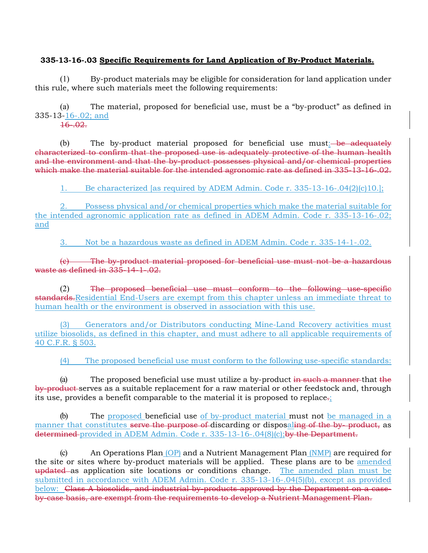## **335-13-16-.03 Specific Requirements for Land Application of By-Product Materials.**

(1) By-product materials may be eligible for consideration for land application under this rule, where such materials meet the following requirements:

(a) The material, proposed for beneficial use, must be a "by-product" as defined in 335-13-16-.02; and

 $16 - 02.$ 

 $(b)$  The by-product material proposed for beneficial use must: be adequately characterized to confirm that the proposed use is adequately protective of the human health and the environment and that the by-product possesses physical and/or chemical properties which make the material suitable for the intended agronomic rate as defined in 335-13-16-.02.

1. Be characterized [as required by ADEM Admin. Code r. 335-13-16-.04(2)(c)10.];

2. Possess physical and/or chemical properties which make the material suitable for the intended agronomic application rate as defined in ADEM Admin. Code r. 335-13-16-.02; and

3. Not be a hazardous waste as defined in ADEM Admin. Code r. 335-14-1-.02.

(c) The by-product material proposed for beneficial use must not be a hazardous waste as defined in 335-14-1-.02.

(2) The proposed beneficial use must conform to the following use-specific standards.Residential End-Users are exempt from this chapter unless an immediate threat to human health or the environment is observed in association with this use.

(3) Generators and/or Distributors conducting Mine-Land Recovery activities must utilize biosolids, as defined in this chapter, and must adhere to all applicable requirements of 40 C.F.R. § 503.

(4) The proposed beneficial use must conform to the following use-specific standards:

(a) The proposed beneficial use must utilize a by-product  $\frac{1}{2}$  in such a manner-that the by-product serves as a suitable replacement for a raw material or other feedstock and, through its use, provides a benefit comparable to the material it is proposed to replace.;

(b) The proposed beneficial use of by-product material must not be managed in a manner that constitutes serve the purpose of discarding or disposaling of the by- product, as determined provided in ADEM Admin. Code r. 335-13-16-.04(8)(c);by the Department.

(c) An Operations Plan  $(OP)$  and a Nutrient Management Plan  $(NMP)$  are required for the site or sites where by-product materials will be applied. These plans are to be amended updated as application site locations or conditions change. The amended plan must be submitted in accordance with ADEM Admin. Code r. 335-13-16-.04(5)(b), except as provided below: Class A biosolids, and industrial by-products approved by the Department on a caseby-case basis, are exempt from the requirements to develop a Nutrient Management Plan.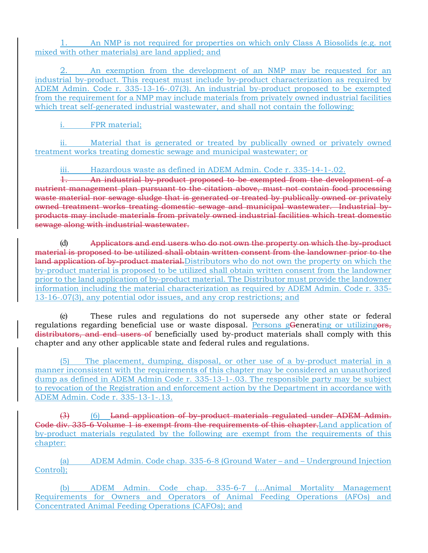1. An NMP is not required for properties on which only Class A Biosolids (e.g. not mixed with other materials) are land applied; and

An exemption from the development of an NMP may be requested for an industrial by-product. This request must include by-product characterization as required by ADEM Admin. Code r. 335-13-16-.07(3). An industrial by-product proposed to be exempted from the requirement for a NMP may include materials from privately owned industrial facilities which treat self-generated industrial wastewater, and shall not contain the following:

i. FPR material;

ii. Material that is generated or treated by publically owned or privately owned treatment works treating domestic sewage and municipal wastewater; or

iii. Hazardous waste as defined in ADEM Admin. Code r. 335-14-1-.02.

1. An industrial by-product proposed to be exempted from the development of a nutrient management plan pursuant to the citation above, must not contain food processing waste material nor sewage sludge that is generated or treated by publically owned or privately owned treatment works treating domestic sewage and municipal wastewater. Industrial byproducts may include materials from privately owned industrial facilities which treat domestic sewage along with industrial wastewater.

(d) Applicators and end users who do not own the property on which the by-product material is proposed to be utilized shall obtain written consent from the landowner prior to the land application of by-product material. Distributors who do not own the property on which the by-product material is proposed to be utilized shall obtain written consent from the landowner prior to the land application of by-product material. The Distributor must provide the landowner information including the material characterization as required by ADEM Admin. Code r. 335- 13-16-.07(3), any potential odor issues, and any crop restrictions; and

(e) These rules and regulations do not supersede any other state or federal regulations regarding beneficial use or waste disposal. Persons gGenerating or utilizing ors, distributors, and end users of beneficially used by-product materials shall comply with this chapter and any other applicable state and federal rules and regulations.

(5) The placement, dumping, disposal, or other use of a by-product material in a manner inconsistent with the requirements of this chapter may be considered an unauthorized dump as defined in ADEM Admin Code r. 335-13-1-.03. The responsible party may be subject to revocation of the Registration and enforcement action by the Department in accordance with ADEM Admin. Code r. 335-13-1-.13.

(3) (6) Land application of by-product materials regulated under ADEM Admin. Code div. 335-6 Volume 1 is exempt from the requirements of this chapter.Land application of by-product materials regulated by the following are exempt from the requirements of this chapter:

(a) ADEM Admin. Code chap. 335-6-8 (Ground Water – and – Underground Injection Control);

(b) ADEM Admin. Code chap. 335-6-7 (…Animal Mortality Management Requirements for Owners and Operators of Animal Feeding Operations (AFOs) and Concentrated Animal Feeding Operations (CAFOs); and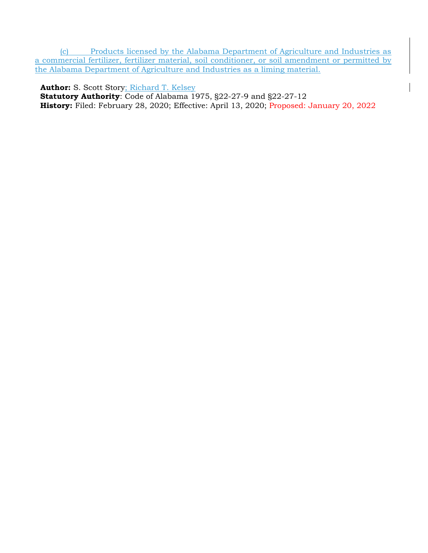(c) Products licensed by the Alabama Department of Agriculture and Industries as a commercial fertilizer, fertilizer material, soil conditioner, or soil amendment or permitted by the Alabama Department of Agriculture and Industries as a liming material.

**Author:** S. Scott Story; Richard T. Kelsey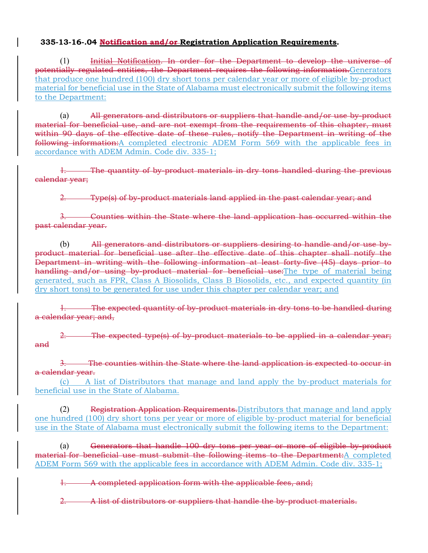# **335-13-16-.04 Notification and/or Registration Application Requirements.**

(1) Initial Notification. In order for the Department to develop the universe of potentially regulated entities, the Department requires the following information.Generators that produce one hundred (100) dry short tons per calendar year or more of eligible by-product material for beneficial use in the State of Alabama must electronically submit the following items to the Department:

(a) All generators and distributors or suppliers that handle and/or use by-product material for beneficial use, and are not exempt from the requirements of this chapter, must within 90 days of the effective date of these rules, notify the Department in writing of the following information: A completed electronic ADEM Form 569 with the applicable fees in accordance with ADEM Admin. Code div. 335-1;

1. The quantity of by-product materials in dry tons handled during the previous calendar year;

2. Type(s) of by-product materials land applied in the past calendar year; and

3. Counties within the State where the land application has occurred within the past calendar year.

 $(b)$  All generators and distributors or suppliers desiring to handle and/or use byproduct material for beneficial use after the effective date of this chapter shall notify the Department in writing with the following information at least forty-five (45) days prior to handling and/or using by-product material for beneficial use: The type of material being generated, such as FPR, Class A Biosolids, Class B Biosolids, etc., and expected quantity (in dry short tons) to be generated for use under this chapter per calendar year; and

The expected quantity of by-product materials in dry tons to be handled during a calendar year; and,

**2. The expected type(s) of by-product materials to be applied in a calendar year;** and

3. The counties within the State where the land application is expected to occur in a calendar year.

(c) A list of Distributors that manage and land apply the by-product materials for beneficial use in the State of Alabama.

(2) Registration Application Requirements.Distributors that manage and land apply one hundred (100) dry short tons per year or more of eligible by-product material for beneficial use in the State of Alabama must electronically submit the following items to the Department:

(a) Generators that handle 100 dry tons per year or more of eligible by product material for beneficial use must submit the following items to the Department:A completed ADEM Form 569 with the applicable fees in accordance with ADEM Admin. Code div. 335-1;

1. A completed application form with the applicable fees, and;

2. A list of distributors or suppliers that handle the by-product materials.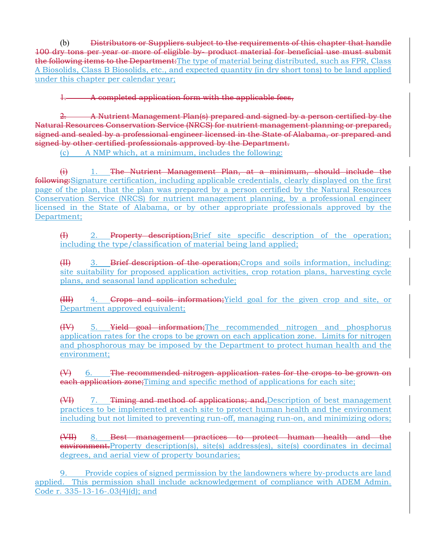(b) Distributors or Suppliers subject to the requirements of this chapter that handle 100 dry tons per year or more of eligible by- product material for beneficial use must submit the following items to the Department: The type of material being distributed, such as FPR, Class A Biosolids, Class B Biosolids, etc., and expected quantity (in dry short tons) to be land applied under this chapter per calendar year;

A completed application form with the applicable fees,

2. A Nutrient Management Plan(s) prepared and signed by a person certified by the Natural Resources Conservation Service (NRCS) for nutrient management planning or prepared, signed and sealed by a professional engineer licensed in the State of Alabama, or prepared and signed by other certified professionals approved by the Department.

(c) A NMP which, at a minimum, includes the following:

 $(i)$  1. The Nutrient Management Plan, at a minimum, should include the following:Signature certification, including applicable credentials, clearly displayed on the first page of the plan, that the plan was prepared by a person certified by the Natural Resources Conservation Service (NRCS) for nutrient management planning, by a professional engineer licensed in the State of Alabama, or by other appropriate professionals approved by the Department;

(I) 2. Property description;Brief site specific description of the operation; including the type/classification of material being land applied;

(II) 3. Brief description of the operation; Crops and soils information, including: site suitability for proposed application activities, crop rotation plans, harvesting cycle plans, and seasonal land application schedule;

(III) 4. Crops and soils information;Yield goal for the given crop and site, or Department approved equivalent;

(IV) 5. Yield goal information;The recommended nitrogen and phosphorus application rates for the crops to be grown on each application zone. Limits for nitrogen and phosphorous may be imposed by the Department to protect human health and the environment;

 $(V)$  6. The recommended nitrogen application rates for the crops to be grown on **each application zone;**Timing and specific method of applications for each site;

(VI) 7. Timing and method of applications; and, Description of best management practices to be implemented at each site to protect human health and the environment including but not limited to preventing run-off, managing run-on, and minimizing odors;

(VII) 8. Best management practices to protect human health and the environment.Property description(s), site(s) address(es), site(s) coordinates in decimal degrees, and aerial view of property boundaries;

9. Provide copies of signed permission by the landowners where by-products are land applied. This permission shall include acknowledgement of compliance with ADEM Admin. Code r. 335-13-16-.03(4)(d); and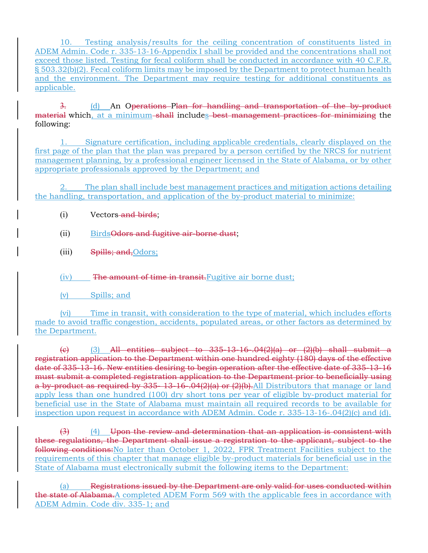10. Testing analysis/results for the ceiling concentration of constituents listed in ADEM Admin. Code r. 335-13-16-Appendix I shall be provided and the concentrations shall not exceed those listed. Testing for fecal coliform shall be conducted in accordance with 40 C.F.R. § 503.32(b)(2). Fecal coliform limits may be imposed by the Department to protect human health and the environment. The Department may require testing for additional constituents as applicable.

3. (d) An Operations Plan for handling and transportation of the by-product material which, at a minimum-shall includes best management practices for minimizing the following:

1. Signature certification, including applicable credentials, clearly displayed on the first page of the plan that the plan was prepared by a person certified by the NRCS for nutrient management planning, by a professional engineer licensed in the State of Alabama, or by other appropriate professionals approved by the Department; and

2. The plan shall include best management practices and mitigation actions detailing the handling, transportation, and application of the by-product material to minimize:

- (i) Vectors and birds;
- (ii) Birds Odors and fugitive air-borne dust;
- (iii) Spills; and, Odors;

(iv) The amount of time in transit.Fugitive air borne dust;

(v) Spills; and

(vi) Time in transit, with consideration to the type of material, which includes efforts made to avoid traffic congestion, accidents, populated areas, or other factors as determined by the Department.

(e) (3) All entities subject to  $335-13-16$ .  $04(2)(a)$  or  $(2)(b)$  shall submit a registration application to the Department within one hundred eighty (180) days of the effective date of 335-13-16. New entities desiring to begin operation after the effective date of 335-13-16 must submit a completed registration application to the Department prior to beneficially using a by product as required by 335-13-16-.04(2)(a) or (2)(b). All Distributors that manage or land apply less than one hundred (100) dry short tons per year of eligible by-product material for beneficial use in the State of Alabama must maintain all required records to be available for inspection upon request in accordance with ADEM Admin. Code r. 335-13-16-.04(2)(c) and (d).

 $(3)$  (4) Upon the review and determination that an application is consistent with these regulations, the Department shall issue a registration to the applicant, subject to the following conditions:No later than October 1, 2022, FPR Treatment Facilities subject to the requirements of this chapter that manage eligible by-product materials for beneficial use in the State of Alabama must electronically submit the following items to the Department:

Registrations issued by the Department are only valid for uses conducted within the state of Alabama. A completed ADEM Form 569 with the applicable fees in accordance with ADEM Admin. Code div. 335-1; and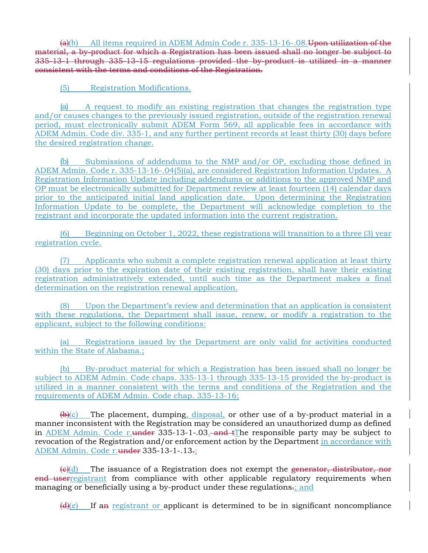$(a)(b)$  All items required in ADEM Admin Code r. 335-13-16-.08. Upon utilization of the material, a by-product for which a Registration has been issued shall no longer be subject to 335-13-1 through 335-13-15 regulations provided the by-product is utilized in a manner consistent with the terms and conditions of the Registration.

(5) Registration Modifications.

(a) A request to modify an existing registration that changes the registration type and/or causes changes to the previously issued registration, outside of the registration renewal period, must electronically submit ADEM Form 569, all applicable fees in accordance with ADEM Admin. Code div. 335-1, and any further pertinent records at least thirty (30) days before the desired registration change.

(b) Submissions of addendums to the NMP and/or OP, excluding those defined in ADEM Admin. Code r. 335-13-16-.04(5)(a), are considered Registration Information Updates. A Registration Information Update including addendums or additions to the approved NMP and OP must be electronically submitted for Department review at least fourteen (14) calendar days prior to the anticipated initial land application date. Upon determining the Registration Information Update to be complete, the Department will acknowledge completion to the registrant and incorporate the updated information into the current registration.

(6) Beginning on October 1, 2022, these registrations will transition to a three (3) year registration cycle.

(7) Applicants who submit a complete registration renewal application at least thirty (30) days prior to the expiration date of their existing registration, shall have their existing registration administratively extended, until such time as the Department makes a final determination on the registration renewal application.

(8) Upon the Department's review and determination that an application is consistent with these regulations, the Department shall issue, renew, or modify a registration to the applicant, subject to the following conditions:

(a) Registrations issued by the Department are only valid for activities conducted within the State of Alabama.;

(b) By-product material for which a Registration has been issued shall no longer be subject to ADEM Admin. Code chaps. 335-13-1 through 335-13-15 provided the by-product is utilized in a manner consistent with the terms and conditions of the Registration and the requirements of ADEM Admin. Code chap. 335-13-16;

 $(\theta)(c)$  The placement, dumping, disposal, or other use of a by-product material in a manner inconsistent with the Registration may be considered an unauthorized dump as defined in ADEM Admin. Code r. under  $335-13-1-.03$  and tthe responsible party may be subject to revocation of the Registration and/or enforcement action by the Department in accordance with ADEM Admin. Code r.under 335-13-1-.13-;

 $\left(\frac{\theta}{\theta}\right)$  The issuance of a Registration does not exempt the generator, distributor, nor end userregistrant from compliance with other applicable regulatory requirements when managing or beneficially using a by-product under these regulations.; and

 $\frac{d}{dx}(e)$  If an registrant or applicant is determined to be in significant noncompliance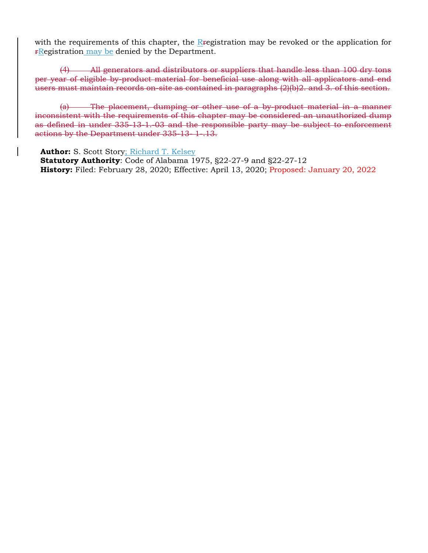with the requirements of this chapter, the Registration may be revoked or the application for **FRegistration may be denied by the Department.** 

(4) All generators and distributors or suppliers that handle less than 100 dry tons per year of eligible by-product material for beneficial use along with all applicators and end users must maintain records on-site as contained in paragraphs (2)(b)2. and 3. of this section.

(a) The placement, dumping or other use of a by-product material in a manner inconsistent with the requirements of this chapter may be considered an unauthorized dump as defined in under 335-13-1. 03 and the responsible party may be subject to enforcement actions by the Department under 335-13- 1-.13.

**Author:** S. Scott Story; Richard T. Kelsey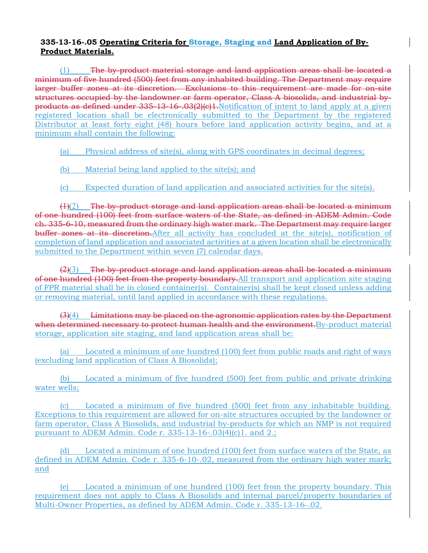## **335-13-16-.05 Operating Criteria for Storage, Staging and Land Application of By-Product Materials.**

 $(1)$  The by-product material storage and land application areas shall be located a minimum of five hundred (500) feet from any inhabited building. The Department may require larger buffer zones at its discretion. Exclusions to this requirement are made for on-site structures occupied by the landowner or farm operator, Class A biosolids, and industrial byproducts as defined under 335-13-16-.03(2)(c)1.Notification of intent to land apply at a given registered location shall be electronically submitted to the Department by the registered Distributor at least forty eight (48) hours before land application activity begins, and at a minimum shall contain the following:

(a) Physical address of site(s), along with GPS coordinates in decimal degrees;

- (b) Material being land applied to the site(s); and
- (c) Expected duration of land application and associated activities for the site(s).

 $(H(2))$  The by-product storage and land application areas shall be located a minimum of one hundred (100) feet from surface waters of the State, as defined in ADEM Admin. Code ch. 335-6-10, measured from the ordinary high water mark. The Department may require larger buffer zones at its discretion. After all activity has concluded at the site(s), notification of completion of land application and associated activities at a given location shall be electronically submitted to the Department within seven (7) calendar days.

 $(2)(3)$  The by-product storage and land application areas shall be located a minimum of one hundred (100) feet from the property boundary. All transport and application site staging of FPR material shall be in closed container(s). Container(s) shall be kept closed unless adding or removing material, until land applied in accordance with these regulations.

 $(3)(4)$  Limitations may be placed on the agronomic application rates by the Department when determined necessary to protect human health and the environment. By-product material storage, application site staging, and land application areas shall be:

(a) Located a minimum of one hundred (100) feet from public roads and right of ways (excluding land application of Class A Biosolids);

(b) Located a minimum of five hundred (500) feet from public and private drinking water wells;

(c) Located a minimum of five hundred (500) feet from any inhabitable building. Exceptions to this requirement are allowed for on-site structures occupied by the landowner or farm operator, Class A Biosolids, and industrial by-products for which an NMP is not required pursuant to ADEM Admin. Code r. 335-13-16-.03(4)(c)1. and 2.;

(d) Located a minimum of one hundred (100) feet from surface waters of the State, as defined in ADEM Admin. Code r. 335-6-10-.02, measured from the ordinary high water mark; and

(e) Located a minimum of one hundred (100) feet from the property boundary. This requirement does not apply to Class A Biosolids and internal parcel/property boundaries of Multi-Owner Properties, as defined by ADEM Admin. Code r. 335-13-16-.02.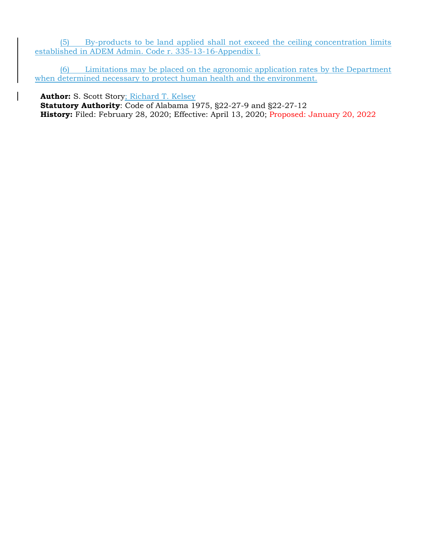(5) By-products to be land applied shall not exceed the ceiling concentration limits established in ADEM Admin. Code r. 335-13-16-Appendix I.

(6) Limitations may be placed on the agronomic application rates by the Department when determined necessary to protect human health and the environment.

**Author:** S. Scott Story; Richard T. Kelsey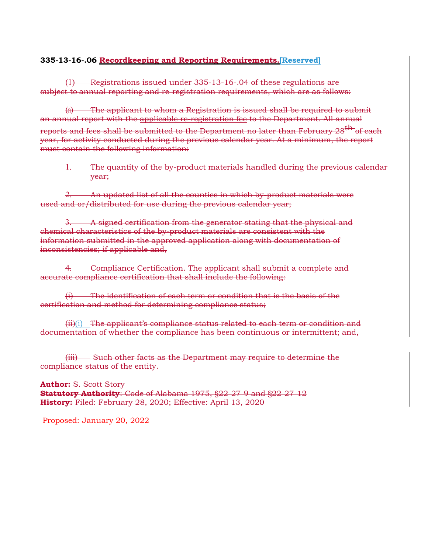#### **335-13-16-.06 Recordkeeping and Reporting Requirements.[Reserved]**

(1) Registrations issued under 335-13-16-.04 of these regulations are subject to annual reporting and re-registration requirements, which are as follows:

(a) The applicant to whom a Registration is issued shall be required to submit an annual report with the applicable re-registration fee to the Department. All annual reports and fees shall be submitted to the Department no later than February 28<sup>th</sup> of each year, for activity conducted during the previous calendar year. At a minimum, the report must contain the following information:

1. The quantity of the by-product materials handled during the previous calendar year;

2. An updated list of all the counties in which by-product materials were used and or/distributed for use during the previous calendar year;

3. A signed certification from the generator stating that the physical and chemical characteristics of the by-product materials are consistent with the information submitted in the approved application along with documentation of inconsistencies; if applicable and,

4. Compliance Certification. The applicant shall submit a complete and accurate compliance certification that shall include the following:

(i) The identification of each term or condition that is the basis of the certification and method for determining compliance status;

 $\overrightarrow{ii}(i)$  The applicant's compliance status related to each term or condition and documentation of whether the compliance has been continuous or intermittent; and,

(iii) Such other facts as the Department may require to determine the compliance status of the entity.

**Author:** S. Scott Story **Statutory Authority**: Code of Alabama 1975, §22-27-9 and §22-27-12 **History:** Filed: February 28, 2020; Effective: April 13, 2020

Proposed: January 20, 2022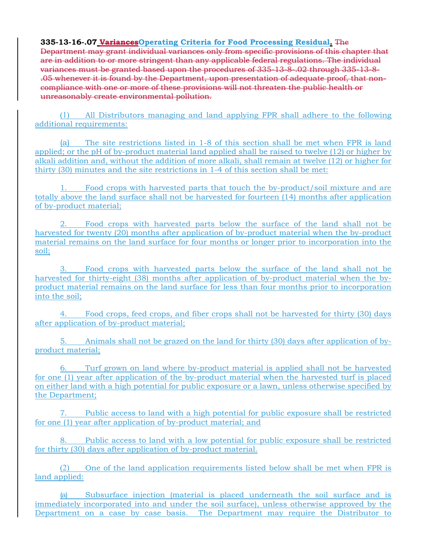### **335-13-16-.07 VariancesOperating Criteria for Food Processing Residual.** The

Department may grant individual variances only from specific provisions of this chapter that are in addition to or more stringent than any applicable federal regulations. The individual variances must be granted based upon the procedures of 335-13-8-.02 through 335-13-8- .05 whenever it is found by the Department, upon presentation of adequate proof, that noncompliance with one or more of these provisions will not threaten the public health or unreasonably create environmental pollution.

(1) All Distributors managing and land applying FPR shall adhere to the following additional requirements:

(a) The site restrictions listed in 1-8 of this section shall be met when FPR is land applied; or the pH of by-product material land applied shall be raised to twelve (12) or higher by alkali addition and, without the addition of more alkali, shall remain at twelve (12) or higher for thirty (30) minutes and the site restrictions in 1-4 of this section shall be met:

1. Food crops with harvested parts that touch the by-product/soil mixture and are totally above the land surface shall not be harvested for fourteen (14) months after application of by-product material;

2. Food crops with harvested parts below the surface of the land shall not be harvested for twenty (20) months after application of by-product material when the by-product material remains on the land surface for four months or longer prior to incorporation into the soil;

3. Food crops with harvested parts below the surface of the land shall not be harvested for thirty-eight (38) months after application of by-product material when the byproduct material remains on the land surface for less than four months prior to incorporation into the soil;

4. Food crops, feed crops, and fiber crops shall not be harvested for thirty (30) days after application of by-product material;

5. Animals shall not be grazed on the land for thirty (30) days after application of byproduct material;

6. Turf grown on land where by-product material is applied shall not be harvested for one (1) year after application of the by-product material when the harvested turf is placed on either land with a high potential for public exposure or a lawn, unless otherwise specified by the Department;

7. Public access to land with a high potential for public exposure shall be restricted for one (1) year after application of by-product material; and

Public access to land with a low potential for public exposure shall be restricted for thirty (30) days after application of by-product material.

(2) One of the land application requirements listed below shall be met when FPR is land applied:

(a) Subsurface injection (material is placed underneath the soil surface and is immediately incorporated into and under the soil surface), unless otherwise approved by the Department on a case by case basis. The Department may require the Distributor to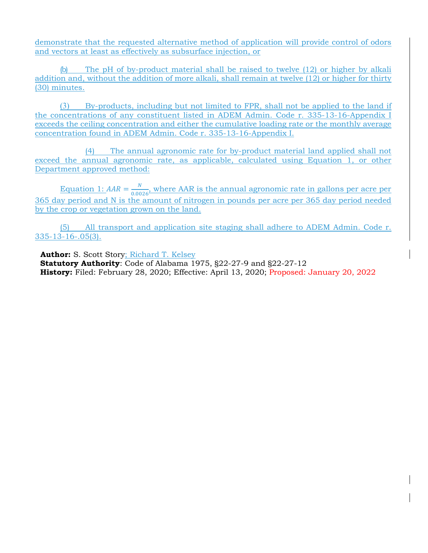demonstrate that the requested alternative method of application will provide control of odors and vectors at least as effectively as subsurface injection, or

(b) The pH of by-product material shall be raised to twelve (12) or higher by alkali addition and, without the addition of more alkali, shall remain at twelve (12) or higher for thirty (30) minutes.

(3) By-products, including but not limited to FPR, shall not be applied to the land if the concentrations of any constituent listed in ADEM Admin. Code r. 335-13-16-Appendix I exceeds the ceiling concentration and either the cumulative loading rate or the monthly average concentration found in ADEM Admin. Code r. 335-13-16-Appendix I.

(4) The annual agronomic rate for by-product material land applied shall not exceed the annual agronomic rate, as applicable, calculated using Equation 1, or other Department approved method:

Equation 1:  $AAR = \frac{N}{0.0026}$ , where AAR is the annual agronomic rate in gallons per acre per 365 day period and N is the amount of nitrogen in pounds per acre per 365 day period needed by the crop or vegetation grown on the land.

(5) All transport and application site staging shall adhere to ADEM Admin. Code r. 335-13-16-.05(3).

**Author:** S. Scott Story; Richard T. Kelsey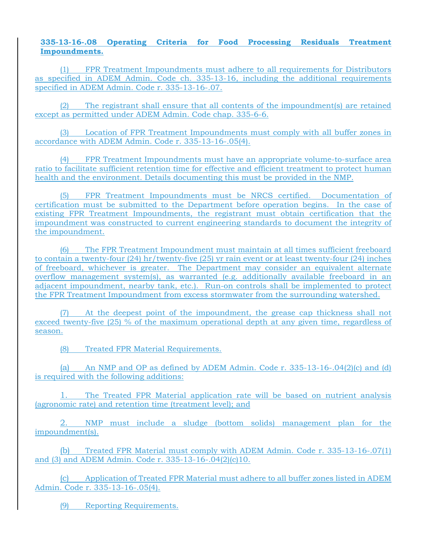#### **335-13-16-.08 Operating Criteria for Food Processing Residuals Treatment Impoundments.**

(1) FPR Treatment Impoundments must adhere to all requirements for Distributors as specified in ADEM Admin. Code ch. 335-13-16, including the additional requirements specified in ADEM Admin. Code r. 335-13-16-.07.

(2) The registrant shall ensure that all contents of the impoundment(s) are retained except as permitted under ADEM Admin. Code chap. 335-6-6.

(3) Location of FPR Treatment Impoundments must comply with all buffer zones in accordance with ADEM Admin. Code r. 335-13-16-.05(4).

(4) FPR Treatment Impoundments must have an appropriate volume-to-surface area ratio to facilitate sufficient retention time for effective and efficient treatment to protect human health and the environment. Details documenting this must be provided in the NMP.

(5) FPR Treatment Impoundments must be NRCS certified. Documentation of certification must be submitted to the Department before operation begins. In the case of existing FPR Treatment Impoundments, the registrant must obtain certification that the impoundment was constructed to current engineering standards to document the integrity of the impoundment.

(6) The FPR Treatment Impoundment must maintain at all times sufficient freeboard to contain a twenty-four (24) hr/twenty-five (25) yr rain event or at least twenty-four (24) inches of freeboard, whichever is greater. The Department may consider an equivalent alternate overflow management system(s), as warranted (e.g. additionally available freeboard in an adjacent impoundment, nearby tank, etc.). Run-on controls shall be implemented to protect the FPR Treatment Impoundment from excess stormwater from the surrounding watershed.

(7) At the deepest point of the impoundment, the grease cap thickness shall not exceed twenty-five (25) % of the maximum operational depth at any given time, regardless of season.

(8) Treated FPR Material Requirements.

(a) An NMP and OP as defined by ADEM Admin. Code r.  $335-13-16-0.04(2)(c)$  and (d) is required with the following additions:

1. The Treated FPR Material application rate will be based on nutrient analysis (agronomic rate) and retention time (treatment level); and

2. NMP must include a sludge (bottom solids) management plan for the impoundment(s).

(b) Treated FPR Material must comply with ADEM Admin. Code r. 335-13-16-.07(1) and (3) and ADEM Admin. Code r. 335-13-16-.04(2)(c)10.

(c) Application of Treated FPR Material must adhere to all buffer zones listed in ADEM Admin. Code r. 335-13-16-.05(4).

(9) Reporting Requirements.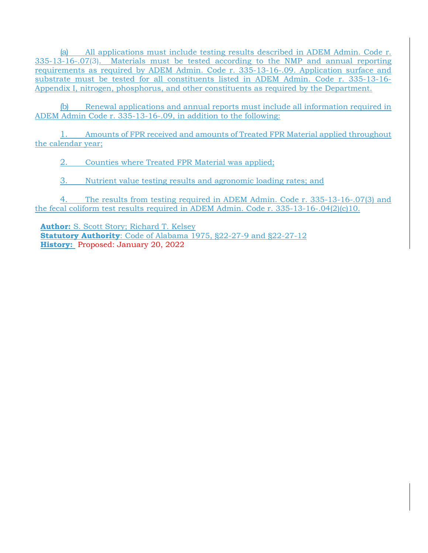(a) All applications must include testing results described in ADEM Admin. Code r. 335-13-16-.07(3). Materials must be tested according to the NMP and annual reporting requirements as required by ADEM Admin. Code r. 335-13-16-.09. Application surface and substrate must be tested for all constituents listed in ADEM Admin. Code r. 335-13-16- Appendix I, nitrogen, phosphorus, and other constituents as required by the Department.

(b) Renewal applications and annual reports must include all information required in ADEM Admin Code r. 335-13-16-.09, in addition to the following:

1. Amounts of FPR received and amounts of Treated FPR Material applied throughout the calendar year;

2. Counties where Treated FPR Material was applied;

3. Nutrient value testing results and agronomic loading rates; and

4. The results from testing required in ADEM Admin. Code r. 335-13-16-.07(3) and the fecal coliform test results required in ADEM Admin. Code r. 335-13-16-.04(2)(c)10.

**Author:** S. Scott Story; Richard T. Kelsey **Statutory Authority**: Code of Alabama 1975, §22-27-9 and §22-27-12 **History:** Proposed: January 20, 2022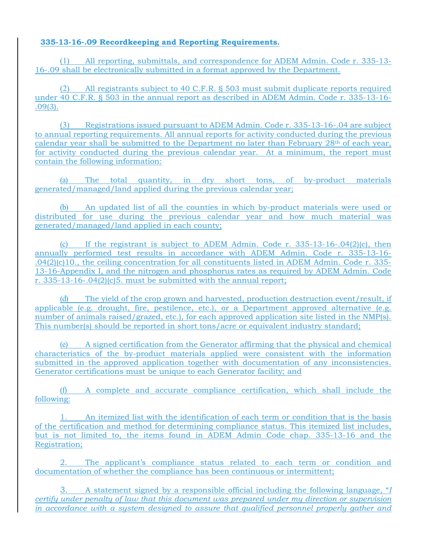# **335-13-16-.09 Recordkeeping and Reporting Requirements.**

(1) All reporting, submittals, and correspondence for ADEM Admin. Code r. 335-13- 16-.09 shall be electronically submitted in a format approved by the Department.

(2) All registrants subject to 40 C.F.R. § 503 must submit duplicate reports required under 40 C.F.R. § 503 in the annual report as described in ADEM Admin. Code r. 335-13-16- .09(3).

(3) Registrations issued pursuant to ADEM Admin. Code r. 335-13-16-.04 are subject to annual reporting requirements. All annual reports for activity conducted during the previous calendar year shall be submitted to the Department no later than February 28th of each year, for activity conducted during the previous calendar year. At a minimum, the report must contain the following information:

(a) The total quantity, in dry short tons, of by-product materials generated/managed/land applied during the previous calendar year;

(b) An updated list of all the counties in which by-product materials were used or distributed for use during the previous calendar year and how much material was generated/managed/land applied in each county;

(c) If the registrant is subject to ADEM Admin. Code r.  $335-13-16-04(2)(c)$ , then annually performed test results in accordance with ADEM Admin. Code r. 335-13-16- .04(2)(c)10., the ceiling concentration for all constituents listed in ADEM Admin. Code r. 335- 13-16-Appendix I, and the nitrogen and phosphorus rates as required by ADEM Admin. Code r. 335-13-16-.04(2)(c)5. must be submitted with the annual report;

(d) The yield of the crop grown and harvested, production destruction event/result, if applicable (e.g. drought, fire, pestilence, etc.), or a Department approved alternative (e.g. number of animals raised/grazed, etc.), for each approved application site listed in the NMP(s). This number(s) should be reported in short tons/acre or equivalent industry standard;

(e) A signed certification from the Generator affirming that the physical and chemical characteristics of the by-product materials applied were consistent with the information submitted in the approved application together with documentation of any inconsistencies. Generator certifications must be unique to each Generator facility; and

(f) A complete and accurate compliance certification, which shall include the following:

1. An itemized list with the identification of each term or condition that is the basis of the certification and method for determining compliance status. This itemized list includes, but is not limited to, the items found in ADEM Admin Code chap. 335-13-16 and the Registration;

2. The applicant's compliance status related to each term or condition and documentation of whether the compliance has been continuous or intermittent;

3. A statement signed by a responsible official including the following language, "*I certify under penalty of law that this document was prepared under my direction or supervision in accordance with a system designed to assure that qualified personnel properly gather and*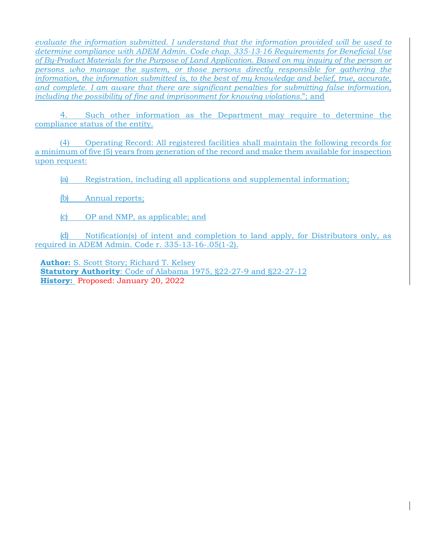*evaluate the information submitted. I understand that the information provided will be used to determine compliance with ADEM Admin. Code chap. 335-13-16 Requirements for Beneficial Use of By-Product Materials for the Purpose of Land Application. Based on my inquiry of the person or persons who manage the system, or those persons directly responsible for gathering the information, the information submitted is, to the best of my knowledge and belief, true, accurate, and complete. I am aware that there are significant penalties for submitting false information, including the possibility of fine and imprisonment for knowing violations.*"; and

4. Such other information as the Department may require to determine the compliance status of the entity.

(4) Operating Record: All registered facilities shall maintain the following records for a minimum of five (5) years from generation of the record and make them available for inspection upon request:

(a) Registration, including all applications and supplemental information;

- (b) Annual reports;
- (c) OP and NMP, as applicable; and

(d) Notification(s) of intent and completion to land apply, for Distributors only, as required in ADEM Admin. Code r. 335-13-16-.05(1-2).

**Author:** S. Scott Story; Richard T. Kelsey **Statutory Authority**: Code of Alabama 1975, §22-27-9 and §22-27-12 **History:** Proposed: January 20, 2022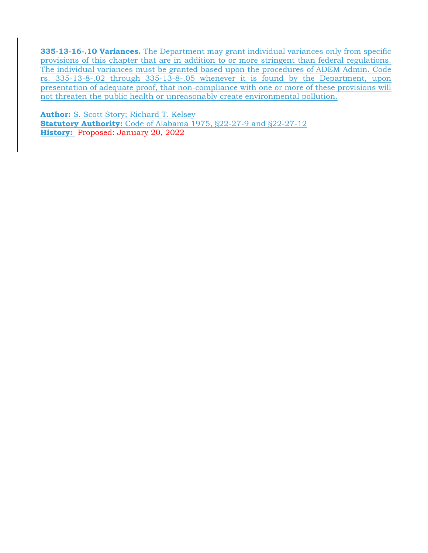**335-13-16-.10 Variances.** The Department may grant individual variances only from specific provisions of this chapter that are in addition to or more stringent than federal regulations. The individual variances must be granted based upon the procedures of ADEM Admin. Code rs. 335-13-8-.02 through 335-13-8-.05 whenever it is found by the Department, upon presentation of adequate proof, that non-compliance with one or more of these provisions will not threaten the public health or unreasonably create environmental pollution.

**Author:** S. Scott Story; Richard T. Kelsey **Statutory Authority:** Code of Alabama 1975, §22-27-9 and §22-27-12 **History:** Proposed: January 20, 2022